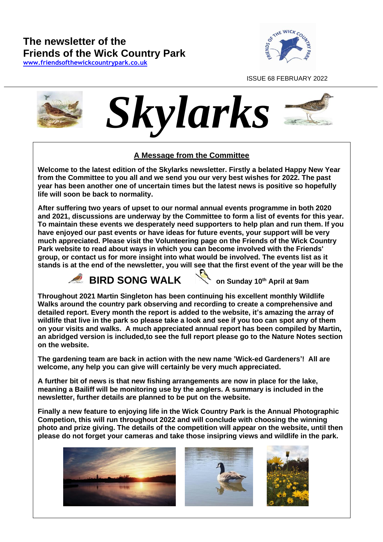# **The newsletter of the Friends of the Wick Country Park**

**[www.friendsofthewickcountrypark.co.uk](http://www.friendsofthewickcountrypark.co.uk/)**



ISSUE 68 FEBRUARY 2022





### **A Message from the Committee**

**Welcome to the latest edition of the Skylarks newsletter. Firstly a belated Happy New Year from the Committee to you all and we send you our very best wishes for 2022. The past year has been another one of uncertain times but the latest news is positive so hopefully life will soon be back to normality.** fro<br>arks<br>ime<br>ime

**After suffering two years of upset to our normal annual events programme in both 2020 and 2021, discussions are underway by the Committee to form a list of events for this year. To maintain these events we desperately need supporters to help plan and run them. If you have enjoyed our past events or have ideas for future events, your support will be very much appreciated. Please visit [the Volunteering page](https://www.friendsofthewickcountrypark.co.uk/volunteering.shtml) on the Friends of the Wick Country Park website to read about ways in which you can become involved with the Friends' group, or contact us for more insight into what would be involved. The events list as it stands is at the end of the newsletter, you will see that the first event of the year will be the**



**BIRD SONG WALK****on Sunday 10th April at 9am**

**Throughout 2021 Martin Singleton has been continuing his excellent monthly Wildlife Walks around the country park observing and recording to create a comprehensive and detailed report. Every month the report is added to the website, it's amazing the array of wildlife that live in the park so please take a look and see if you too can spot any of them on your visits and walks. A much appreciated annual report has been compiled by Martin, an abridged version is included,to see the full report please go to the Nature Notes section on the website.**

**The gardening team are back in action with the new name 'Wick-ed Gardeners'! All are welcome, any help you can give will certainly be very much appreciated.**

**A further bit of news is that new fishing arrangements are now in place for the lake, meaning a Bailiff will be monitoring use by the anglers. A summary is included in the newsletter, further details are planned to be put on the website.**

**Finally a new feature to enjoying life in the Wick Country Park is the Annual Photographic Competion, this will run throughout 2022 and will conclude with choosing the winning photo and prize giving. The details of the competition will appear on the website, until then please do not forget your cameras and take those insipring views and wildlife in the park.**





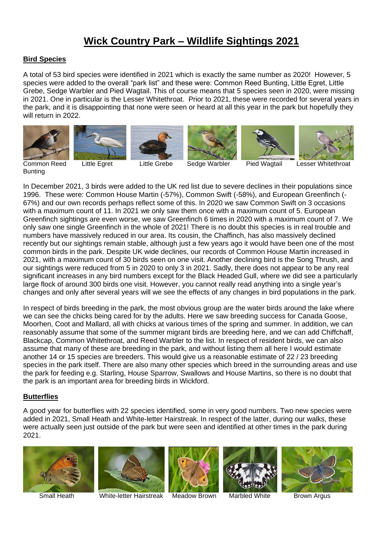# **Wick Country Park – Wildlife Sightings 2021**

#### **Bird Species**

A total of 53 bird species were identified in 2021 which is exactly the same number as 2020! However, 5 species were added to the overall "park list" and these were: Common Reed Bunting, Little Egret, Little Grebe, Sedge Warbler and Pied Wagtail. This of course means that 5 species seen in 2020, were missing in 2021. One in particular is the Lesser Whitethroat. Prior to 2021, these were recorded for several years in the park, and it is disappointing that none were seen or heard at all this year in the park but hopefully they will return in 2022.













**Bunting** 

Common Reed Little Egret Little Grebe Sedge Warbler Pied Wagtail Lesser Whitethroat

In December 2021, 3 birds were added to the UK red list due to severe declines in their populations since 1996. These were: Common House Martin (-57%), Common Swift (-58%), and European Greenfinch (- 67%) and our own records perhaps reflect some of this. In 2020 we saw Common Swift on 3 occasions with a maximum count of 11. In 2021 we only saw them once with a maximum count of 5. European Greenfinch sightings are even worse, we saw Greenfinch 6 times in 2020 with a maximum count of 7. We only saw one single Greenfinch in the whole of 2021! There is no doubt this species is in real trouble and numbers have massively reduced in our area. Its cousin, the Chaffinch, has also massively declined recently but our sightings remain stable, although just a few years ago it would have been one of the most common birds in the park. Despite UK wide declines, our records of Common House Martin increased in 2021, with a maximum count of 30 birds seen on one visit. Another declining bird is the Song Thrush, and our sightings were reduced from 5 in 2020 to only 3 in 2021. Sadly, there does not appear to be any real significant increases in any bird numbers except for the Black Headed Gull, where we did see a particularly large flock of around 300 birds one visit. However, you cannot really read anything into a single year's changes and only after several years will we see the effects of any changes in bird populations in the park.

In respect of birds breeding in the park, the most obvious group are the water birds around the lake where we can see the chicks being cared for by the adults. Here we saw breeding success for Canada Goose, Moorhen, Coot and Mallard, all with chicks at various times of the spring and summer. In addition, we can reasonably assume that some of the summer migrant birds are breeding here, and we can add Chiffchaff, Blackcap, Common Whitethroat, and Reed Warbler to the list. In respect of resident birds, we can also assume that many of these are breeding in the park, and without listing them all here I would estimate another 14 or 15 species are breeders. This would give us a reasonable estimate of 22 / 23 breeding species in the park itself. There are also many other species which breed in the surrounding areas and use the park for feeding e.g. Starling, House Sparrow, Swallows and House Martins, so there is no doubt that the park is an important area for breeding birds in Wickford.

#### **Butterflies**

A good year for butterflies with 22 species identified, some in very good numbers. Two new species were added in 2021, Small Heath and White-letter Hairstreak. In respect of the latter, during our walks, these were actually seen just outside of the park but were seen and identified at other times in the park during 2021.





Small Heath **White-letter Hairstreak Meadow Brown** Marbled White Brown Argus





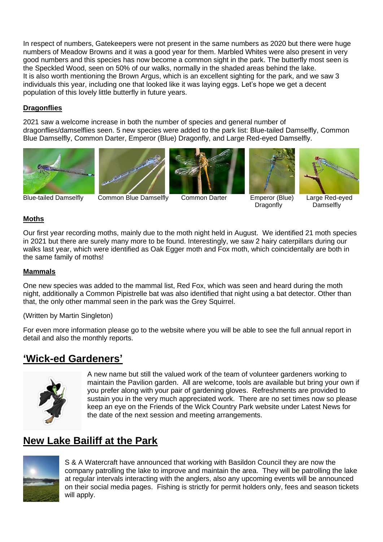In respect of numbers, Gatekeepers were not present in the same numbers as 2020 but there were huge numbers of Meadow Browns and it was a good year for them. Marbled Whites were also present in very good numbers and this species has now become a common sight in the park. The butterfly most seen is the Speckled Wood, seen on 50% of our walks, normally in the shaded areas behind the lake. It is also worth mentioning the Brown Argus, which is an excellent sighting for the park, and we saw 3 individuals this year, including one that looked like it was laying eggs. Let's hope we get a decent population of this lovely little butterfly in future years.

### **Dragonflies**

2021 saw a welcome increase in both the number of species and general number of dragonflies/damselflies seen. 5 new species were added to the park list: Blue-tailed Damselfly, Common Blue Damselfly, Common Darter, Emperor (Blue) Dragonfly, and Large Red-eyed Damselfly.











Blue-tailed Damselfly Common Blue Damselfly Common Darter Emperor (Blue) Large Red-eyed

Dragonfly Damselfly

 $\parallel$ 

### **Moths**

Our first year recording moths, mainly due to the moth night held in August. We identified 21 moth species in 2021 but there are surely many more to be found. Interestingly, we saw 2 hairy caterpillars during our walks last year, which were identified as Oak Egger moth and Fox moth, which coincidentally are both in the same family of moths!

#### **Mammals**

One new species was added to the mammal list, Red Fox, which was seen and heard during the moth night, additionally a Common Pipistrelle bat was also identified that night using a bat detector. Other than that, the only other mammal seen in the park was the Grey Squirrel.

#### (Written by Martin Singleton)

For even more information please go to the website where you will be able to see the full annual report in detail and also the monthly reports.

## **'Wick-ed Gardeners'**



A new name but still the valued work of the team of volunteer gardeners working to maintain the Pavilion garden. All are welcome, tools are available but bring your own if you prefer along with your pair of gardening gloves. Refreshments are provided to sustain you in the very much appreciated work. There are no set times now so please keep an eye on the Friends of the Wick Country Park website under Latest News for the date of the next session and meeting arrangements.

# **New Lake Bailiff at the Park**



S & A Watercraft have announced that working with Basildon Council they are now the company patrolling the lake to improve and maintain the area. They will be patrolling the lake at regular intervals interacting with the anglers, also any upcoming events will be announced on their social media pages. Fishing is strictly for permit holders only, fees and season tickets will apply.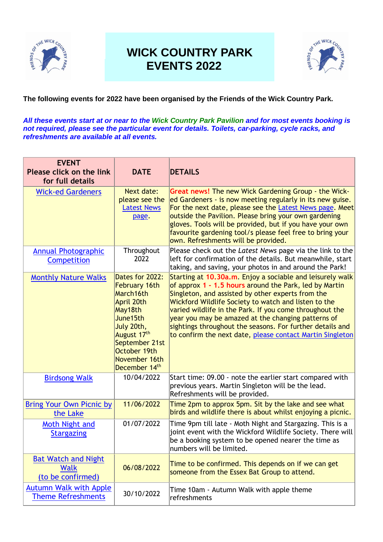

# **WICK COUNTRY PARK EVENTS 2022**



### **The following events for 2022 have been organised by the Friends of the Wick Country Park.**

*All these events start at or near to the Wick Country Park Pavilion and for most events booking is not required, please see the particular event for details. Toilets, car-parking, cycle racks, and refreshments are available at all events.*

| <b>EVENT</b><br>Please click on the link<br>for full details   | <b>DATE</b>                                                                                                                                                                                                        | <b>DETAILS</b>                                                                                                                                                                                                                                                                                                                                                                                                                                                              |
|----------------------------------------------------------------|--------------------------------------------------------------------------------------------------------------------------------------------------------------------------------------------------------------------|-----------------------------------------------------------------------------------------------------------------------------------------------------------------------------------------------------------------------------------------------------------------------------------------------------------------------------------------------------------------------------------------------------------------------------------------------------------------------------|
| <b>Wick-ed Gardeners</b>                                       | Next date:<br>please see the<br><b>Latest News</b><br>page.                                                                                                                                                        | <b>Great news!</b> The new Wick Gardening Group - the Wick-<br>ed Gardeners - is now meeting regularly in its new guise.<br>For the next date, please see the Latest News page. Meet<br>outside the Pavilion. Please bring your own gardening<br>gloves. Tools will be provided, but if you have your own<br>favourite gardening tool/s please feel free to bring your<br>own. Refreshments will be provided.                                                               |
| <b>Annual Photographic</b><br>Competition                      | Throughout<br>2022                                                                                                                                                                                                 | Please check out the Latest News page via the link to the<br>left for confirmation of the details. But meanwhile, start<br>taking, and saving, your photos in and around the Park!                                                                                                                                                                                                                                                                                          |
| <b>Monthly Nature Walks</b>                                    | Dates for 2022:<br><b>February 16th</b><br>March16th<br>April 20th<br>May18th<br>June15th<br>July 20th,<br>August 17 <sup>th</sup><br>September 21st<br>October 19th<br>November 16th<br>December 14 <sup>th</sup> | Starting at 10.30a.m. Enjoy a sociable and leisurely walk<br>of approx 1 - 1.5 hours around the Park, led by Martin<br>Singleton, and assisted by other experts from the<br>Wickford Wildlife Society to watch and listen to the<br>varied wildlife in the Park. If you come throughout the<br>year you may be amazed at the changing patterns of<br>sightings throughout the seasons. For further details and<br>to confirm the next date, please contact Martin Singleton |
| <b>Birdsong Walk</b>                                           | 10/04/2022                                                                                                                                                                                                         | Start time: 09.00 - note the earlier start compared with<br>previous years. Martin Singleton will be the lead.<br>Refreshments will be provided.                                                                                                                                                                                                                                                                                                                            |
| <b>Bring Your Own Picnic by</b><br>the Lake                    | 11/06/2022                                                                                                                                                                                                         | Time 2pm to approx 5pm. Sit by the lake and see what<br>birds and wildlife there is about whilst enjoying a picnic.                                                                                                                                                                                                                                                                                                                                                         |
| Moth Night and<br><b>Stargazing</b>                            | 01/07/2022                                                                                                                                                                                                         | Time 9pm till late - Moth Night and Stargazing. This is a<br>joint event with the Wickford Wildlife Society. There will<br>be a booking system to be opened nearer the time as<br>numbers will be limited.                                                                                                                                                                                                                                                                  |
| <b>Bat Watch and Night</b><br><b>Walk</b><br>(to be confirmed) | 06/08/2022                                                                                                                                                                                                         | Time to be confirmed. This depends on if we can get<br>someone from the Essex Bat Group to attend.                                                                                                                                                                                                                                                                                                                                                                          |
| <b>Autumn Walk with Apple</b><br><b>Theme Refreshments</b>     | 30/10/2022                                                                                                                                                                                                         | Time 10am - Autumn Walk with apple theme<br>refreshments                                                                                                                                                                                                                                                                                                                                                                                                                    |